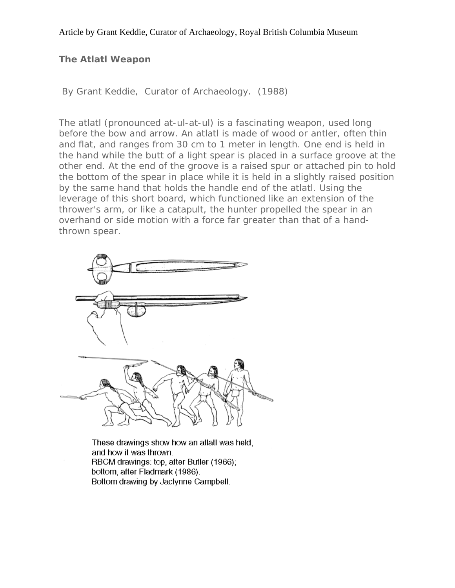# **The Atlatl Weapon**

By Grant Keddie, Curator of Archaeology. (1988)

The atlatl (pronounced at-ul-at-ul) is a fascinating weapon, used long before the bow and arrow. An atlatl is made of wood or antler, often thin and flat, and ranges from 30 cm to 1 meter in length. One end is held in the hand while the butt of a light spear is placed in a surface groove at the other end. At the end of the groove is a raised spur or attached pin to hold the bottom of the spear in place while it is held in a slightly raised position by the same hand that holds the handle end of the atlatl. Using the leverage of this short board, which functioned like an extension of the thrower's arm, or like a catapult, the hunter propelled the spear in an overhand or side motion with a force far greater than that of a handthrown spear.



These drawings show how an atlatl was held, and how it was thrown. RBCM drawings: top, after Butler (1966); bottom, after Fladmark (1986). Bottom drawing by Jaclynne Campbell.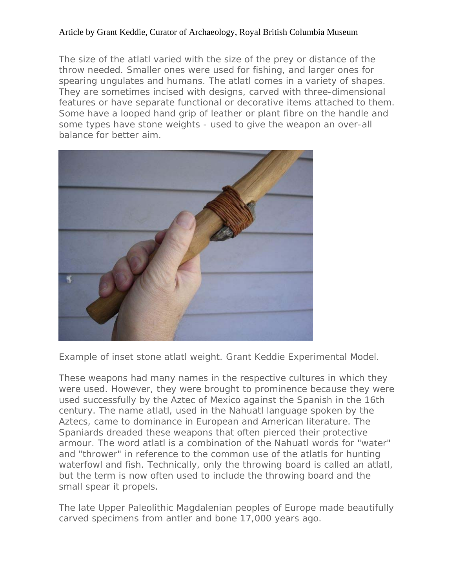The size of the atlatl varied with the size of the prey or distance of the throw needed. Smaller ones were used for fishing, and larger ones for spearing ungulates and humans. The atlatl comes in a variety of shapes. They are sometimes incised with designs, carved with three-dimensional features or have separate functional or decorative items attached to them. Some have a looped hand grip of leather or plant fibre on the handle and some types have stone weights - used to give the weapon an over-all balance for better aim.



Example of inset stone atlatl weight. Grant Keddie Experimental Model.

These weapons had many names in the respective cultures in which they were used. However, they were brought to prominence because they were used successfully by the Aztec of Mexico against the Spanish in the 16th century. The name atlatl, used in the Nahuatl language spoken by the Aztecs, came to dominance in European and American literature. The Spaniards dreaded these weapons that often pierced their protective armour. The word atlatl is a combination of the Nahuatl words for "water" and "thrower" in reference to the common use of the atlatls for hunting waterfowl and fish. Technically, only the throwing board is called an atlatl, but the term is now often used to include the throwing board and the small spear it propels.

The late Upper Paleolithic Magdalenian peoples of Europe made beautifully carved specimens from antler and bone 17,000 years ago.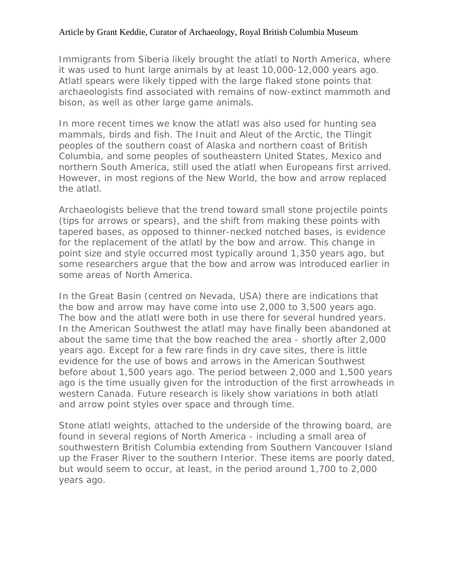Immigrants from Siberia likely brought the atlatl to North America, where it was used to hunt large animals by at least 10,000-12,000 years ago. Atlatl spears were likely tipped with the large flaked stone points that archaeologists find associated with remains of now-extinct mammoth and bison, as well as other large game animals.

In more recent times we know the atlatl was also used for hunting sea mammals, birds and fish. The Inuit and Aleut of the Arctic, the Tlingit peoples of the southern coast of Alaska and northern coast of British Columbia, and some peoples of southeastern United States, Mexico and northern South America, still used the atlatl when Europeans first arrived. However, in most regions of the New World, the bow and arrow replaced the atlatl.

Archaeologists believe that the trend toward small stone projectile points (tips for arrows or spears), and the shift from making these points with tapered bases, as opposed to thinner-necked notched bases, is evidence for the replacement of the atlatl by the bow and arrow. This change in point size and style occurred most typically around 1,350 years ago, but some researchers argue that the bow and arrow was introduced earlier in some areas of North America.

In the Great Basin (centred on Nevada, USA) there are indications that the bow and arrow may have come into use 2,000 to 3,500 years ago. The bow and the atlatl were both in use there for several hundred years. In the American Southwest the atlatl may have finally been abandoned at about the same time that the bow reached the area - shortly after 2,000 years ago. Except for a few rare finds in dry cave sites, there is little evidence for the use of bows and arrows in the American Southwest before about 1,500 years ago. The period between 2,000 and 1,500 years ago is the time usually given for the introduction of the first arrowheads in western Canada. Future research is likely show variations in both atlatl and arrow point styles over space and through time.

Stone atlatl weights, attached to the underside of the throwing board, are found in several regions of North America - including a small area of southwestern British Columbia extending from Southern Vancouver Island up the Fraser River to the southern Interior. These items are poorly dated, but would seem to occur, at least, in the period around 1,700 to 2,000 years ago.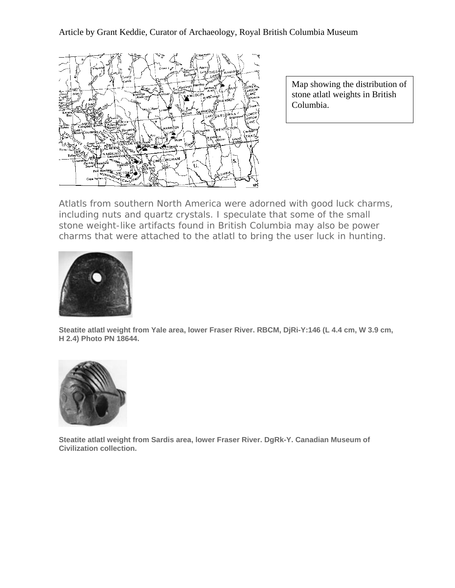

Map showing the distribution of stone atlatl weights in British Columbia.

Atlatls from southern North America were adorned with good luck charms, including nuts and quartz crystals. I speculate that some of the small stone weight-like artifacts found in British Columbia may also be power charms that were attached to the atlatl to bring the user luck in hunting.



**Steatite atlatl weight from Yale area, lower Fraser River. RBCM, DjRi-Y:146 (L 4.4 cm, W 3.9 cm, H 2.4) Photo PN 18644.** 



**Steatite atlatl weight from Sardis area, lower Fraser River. DgRk-Y. Canadian Museum of Civilization collection.**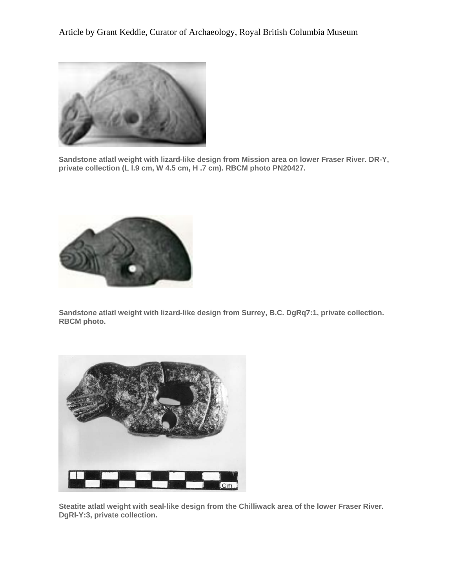

**Sandstone atlatl weight with lizard-like design from Mission area on lower Fraser River. DR-Y, private collection (L l.9 cm, W 4.5 cm, H .7 cm). RBCM photo PN20427.** 



**Sandstone atlatl weight with lizard-like design from Surrey, B.C. DgRq7:1, private collection. RBCM photo.** 



**Steatite atlatl weight with seal-like design from the Chilliwack area of the lower Fraser River. DgRl-Y:3, private collection.**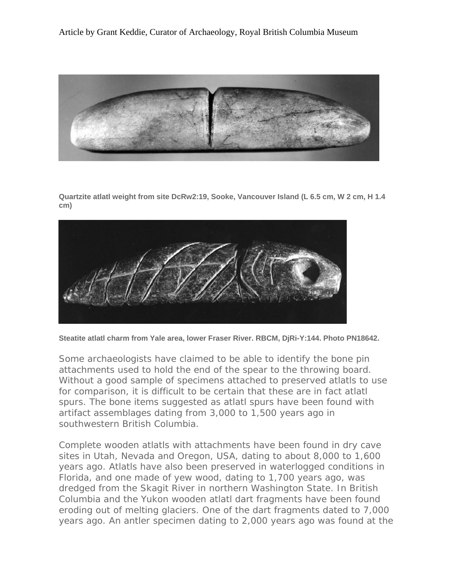

**Quartzite atlatl weight from site DcRw2:19, Sooke, Vancouver Island (L 6.5 cm, W 2 cm, H 1.4 cm)**



**Steatite atlatl charm from Yale area, lower Fraser River. RBCM, DjRi-Y:144. Photo PN18642.**

Some archaeologists have claimed to be able to identify the bone pin attachments used to hold the end of the spear to the throwing board. Without a good sample of specimens attached to preserved atlatls to use for comparison, it is difficult to be certain that these are in fact atlatl spurs. The bone items suggested as atlatl spurs have been found with artifact assemblages dating from 3,000 to 1,500 years ago in southwestern British Columbia.

Complete wooden atlatls with attachments have been found in dry cave sites in Utah, Nevada and Oregon, USA, dating to about 8,000 to 1,600 years ago. Atlatls have also been preserved in waterlogged conditions in Florida, and one made of yew wood, dating to 1,700 years ago, was dredged from the Skagit River in northern Washington State. In British Columbia and the Yukon wooden atlatl dart fragments have been found eroding out of melting glaciers. One of the dart fragments dated to 7,000 years ago. An antler specimen dating to 2,000 years ago was found at the